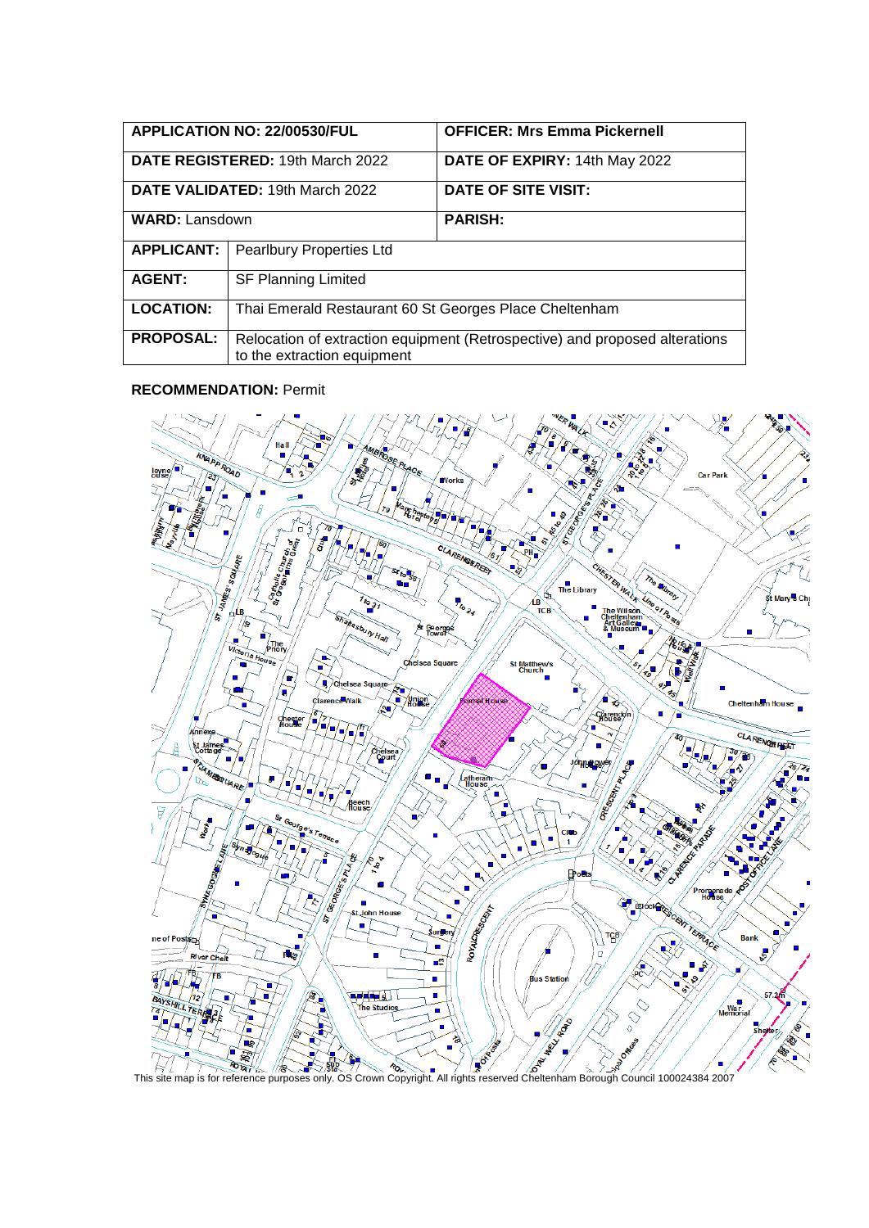|                                  | APPLICATION NO: 22/00530/FUL                                                                               | <b>OFFICER: Mrs Emma Pickernell</b> |
|----------------------------------|------------------------------------------------------------------------------------------------------------|-------------------------------------|
| DATE REGISTERED: 19th March 2022 |                                                                                                            | DATE OF EXPIRY: 14th May 2022       |
| DATE VALIDATED: 19th March 2022  |                                                                                                            | DATE OF SITE VISIT:                 |
| <b>WARD: Lansdown</b>            |                                                                                                            | <b>PARISH:</b>                      |
| <b>APPLICANT:</b>                | Pearlbury Properties Ltd                                                                                   |                                     |
| <b>AGENT:</b>                    | <b>SF Planning Limited</b>                                                                                 |                                     |
| <b>LOCATION:</b>                 | Thai Emerald Restaurant 60 St Georges Place Cheltenham                                                     |                                     |
| <b>PROPOSAL:</b>                 | Relocation of extraction equipment (Retrospective) and proposed alterations<br>to the extraction equipment |                                     |

#### **RECOMMENDATION:** Permit

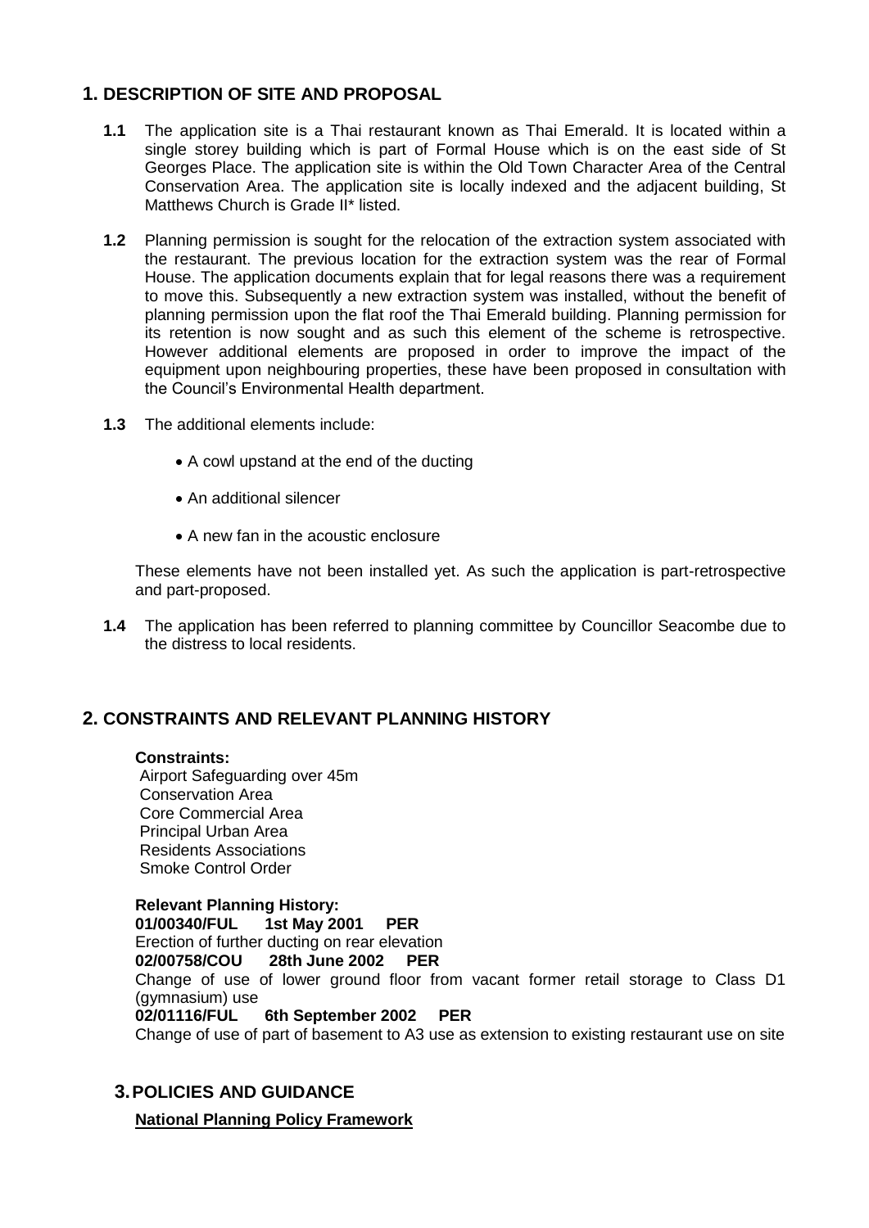# **1. DESCRIPTION OF SITE AND PROPOSAL**

- **1.1** The application site is a Thai restaurant known as Thai Emerald. It is located within a single storey building which is part of Formal House which is on the east side of St Georges Place. The application site is within the Old Town Character Area of the Central Conservation Area. The application site is locally indexed and the adjacent building, St Matthews Church is Grade II\* listed.
- **1.2** Planning permission is sought for the relocation of the extraction system associated with the restaurant. The previous location for the extraction system was the rear of Formal House. The application documents explain that for legal reasons there was a requirement to move this. Subsequently a new extraction system was installed, without the benefit of planning permission upon the flat roof the Thai Emerald building. Planning permission for its retention is now sought and as such this element of the scheme is retrospective. However additional elements are proposed in order to improve the impact of the equipment upon neighbouring properties, these have been proposed in consultation with the Council's Environmental Health department.
- **1.3** The additional elements include:
	- A cowl upstand at the end of the ducting
	- An additional silencer
	- A new fan in the acoustic enclosure

These elements have not been installed yet. As such the application is part-retrospective and part-proposed.

**1.4** The application has been referred to planning committee by Councillor Seacombe due to the distress to local residents.

# **2. CONSTRAINTS AND RELEVANT PLANNING HISTORY**

### **Constraints:**

Airport Safeguarding over 45m Conservation Area Core Commercial Area Principal Urban Area Residents Associations Smoke Control Order

**Relevant Planning History: 01/00340/FUL 1st May 2001 PER** Erection of further ducting on rear elevation **02/00758/COU 28th June 2002 PER** Change of use of lower ground floor from vacant former retail storage to Class D1 (gymnasium) use **02/01116/FUL 6th September 2002 PER** Change of use of part of basement to A3 use as extension to existing restaurant use on site

# **3.POLICIES AND GUIDANCE**

**National Planning Policy Framework**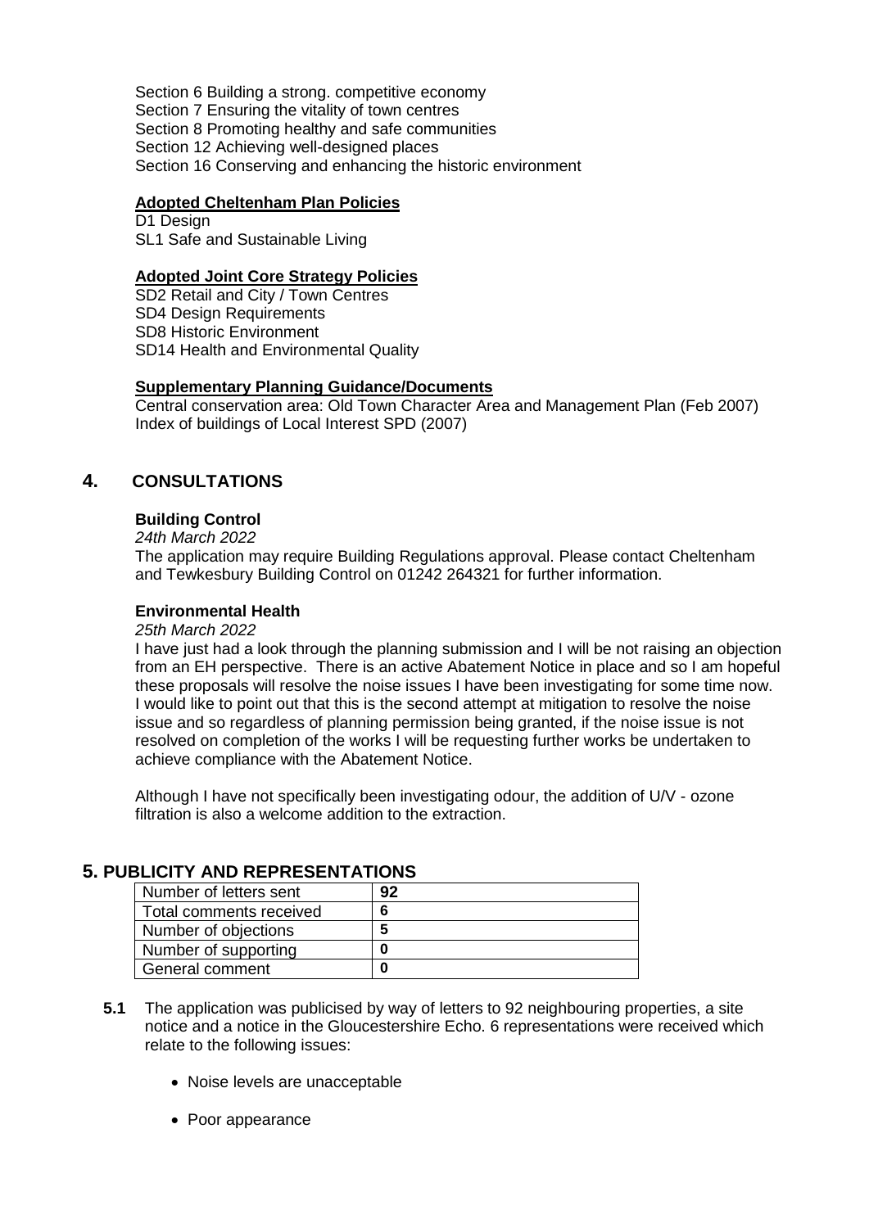Section 6 Building a strong. competitive economy Section 7 Ensuring the vitality of town centres Section 8 Promoting healthy and safe communities Section 12 Achieving well-designed places Section 16 Conserving and enhancing the historic environment

### **Adopted Cheltenham Plan Policies**

D<sub>1</sub> Design SL1 Safe and Sustainable Living

### **Adopted Joint Core Strategy Policies**

SD2 Retail and City / Town Centres SD4 Design Requirements SD8 Historic Environment SD14 Health and Environmental Quality

### **Supplementary Planning Guidance/Documents**

Central conservation area: Old Town Character Area and Management Plan (Feb 2007) Index of buildings of Local Interest SPD (2007)

## **4. CONSULTATIONS**

#### **Building Control**

*24th March 2022*

The application may require Building Regulations approval. Please contact Cheltenham and Tewkesbury Building Control on 01242 264321 for further information.

#### **Environmental Health**

*25th March 2022*

I have just had a look through the planning submission and I will be not raising an objection from an EH perspective. There is an active Abatement Notice in place and so I am hopeful these proposals will resolve the noise issues I have been investigating for some time now. I would like to point out that this is the second attempt at mitigation to resolve the noise issue and so regardless of planning permission being granted, if the noise issue is not resolved on completion of the works I will be requesting further works be undertaken to achieve compliance with the Abatement Notice.

Although I have not specifically been investigating odour, the addition of U/V - ozone filtration is also a welcome addition to the extraction.

## **5. PUBLICITY AND REPRESENTATIONS**

| Number of letters sent  | 92 |
|-------------------------|----|
| Total comments received | 6  |
| Number of objections    |    |
| Number of supporting    |    |
| General comment         |    |

- **5.1** The application was publicised by way of letters to 92 neighbouring properties, a site notice and a notice in the Gloucestershire Echo. 6 representations were received which relate to the following issues:
	- Noise levels are unacceptable
	- Poor appearance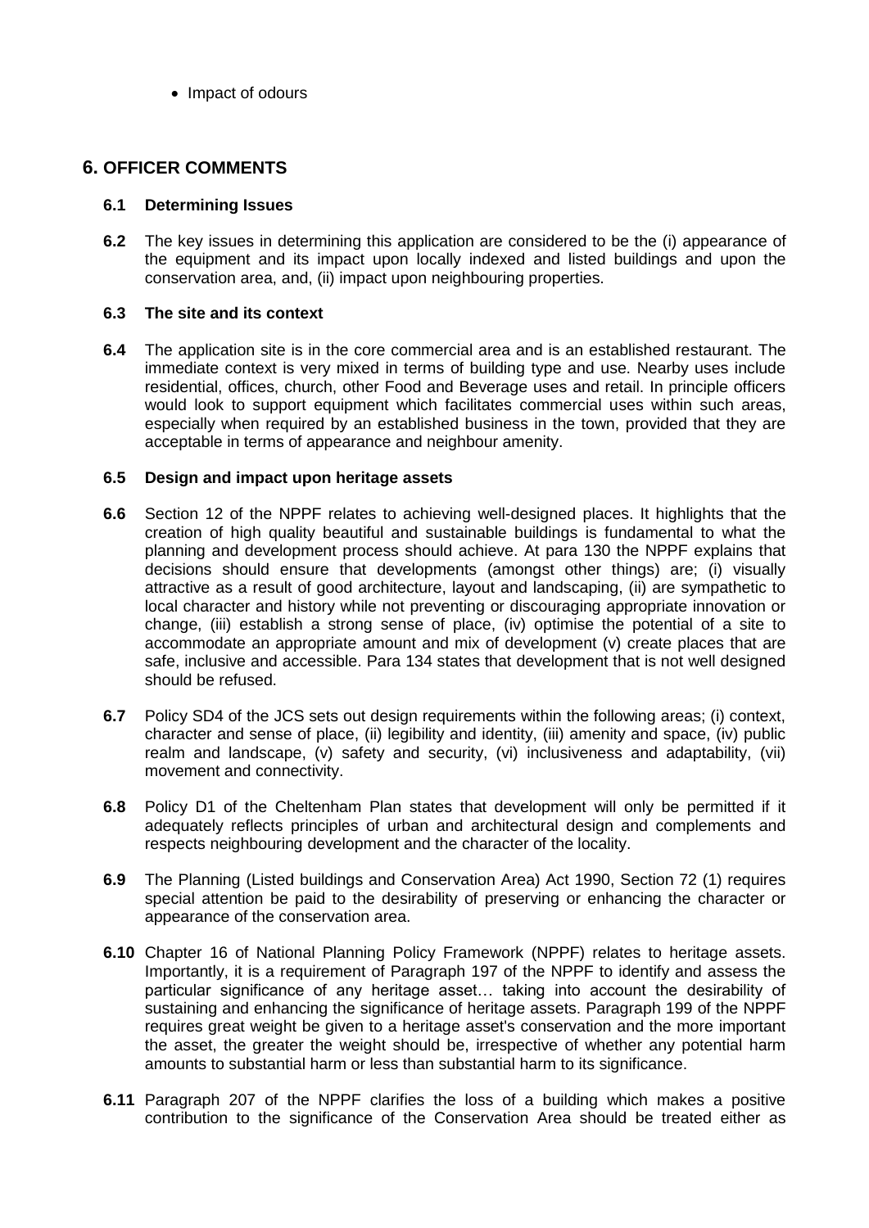• Impact of odours

## **6. OFFICER COMMENTS**

### **6.1 Determining Issues**

**6.2** The key issues in determining this application are considered to be the (i) appearance of the equipment and its impact upon locally indexed and listed buildings and upon the conservation area, and, (ii) impact upon neighbouring properties.

### **6.3 The site and its context**

**6.4** The application site is in the core commercial area and is an established restaurant. The immediate context is very mixed in terms of building type and use. Nearby uses include residential, offices, church, other Food and Beverage uses and retail. In principle officers would look to support equipment which facilitates commercial uses within such areas, especially when required by an established business in the town, provided that they are acceptable in terms of appearance and neighbour amenity.

### **6.5 Design and impact upon heritage assets**

- **6.6** Section 12 of the NPPF relates to achieving well-designed places. It highlights that the creation of high quality beautiful and sustainable buildings is fundamental to what the planning and development process should achieve. At para 130 the NPPF explains that decisions should ensure that developments (amongst other things) are; (i) visually attractive as a result of good architecture, layout and landscaping, (ii) are sympathetic to local character and history while not preventing or discouraging appropriate innovation or change, (iii) establish a strong sense of place, (iv) optimise the potential of a site to accommodate an appropriate amount and mix of development (v) create places that are safe, inclusive and accessible. Para 134 states that development that is not well designed should be refused.
- **6.7** Policy SD4 of the JCS sets out design requirements within the following areas; (i) context, character and sense of place, (ii) legibility and identity, (iii) amenity and space, (iv) public realm and landscape, (v) safety and security, (vi) inclusiveness and adaptability, (vii) movement and connectivity.
- **6.8** Policy D1 of the Cheltenham Plan states that development will only be permitted if it adequately reflects principles of urban and architectural design and complements and respects neighbouring development and the character of the locality.
- **6.9** The Planning (Listed buildings and Conservation Area) Act 1990, Section 72 (1) requires special attention be paid to the desirability of preserving or enhancing the character or appearance of the conservation area.
- **6.10** Chapter 16 of National Planning Policy Framework (NPPF) relates to heritage assets. Importantly, it is a requirement of Paragraph 197 of the NPPF to identify and assess the particular significance of any heritage asset… taking into account the desirability of sustaining and enhancing the significance of heritage assets. Paragraph 199 of the NPPF requires great weight be given to a heritage asset's conservation and the more important the asset, the greater the weight should be, irrespective of whether any potential harm amounts to substantial harm or less than substantial harm to its significance.
- **6.11** Paragraph 207 of the NPPF clarifies the loss of a building which makes a positive contribution to the significance of the Conservation Area should be treated either as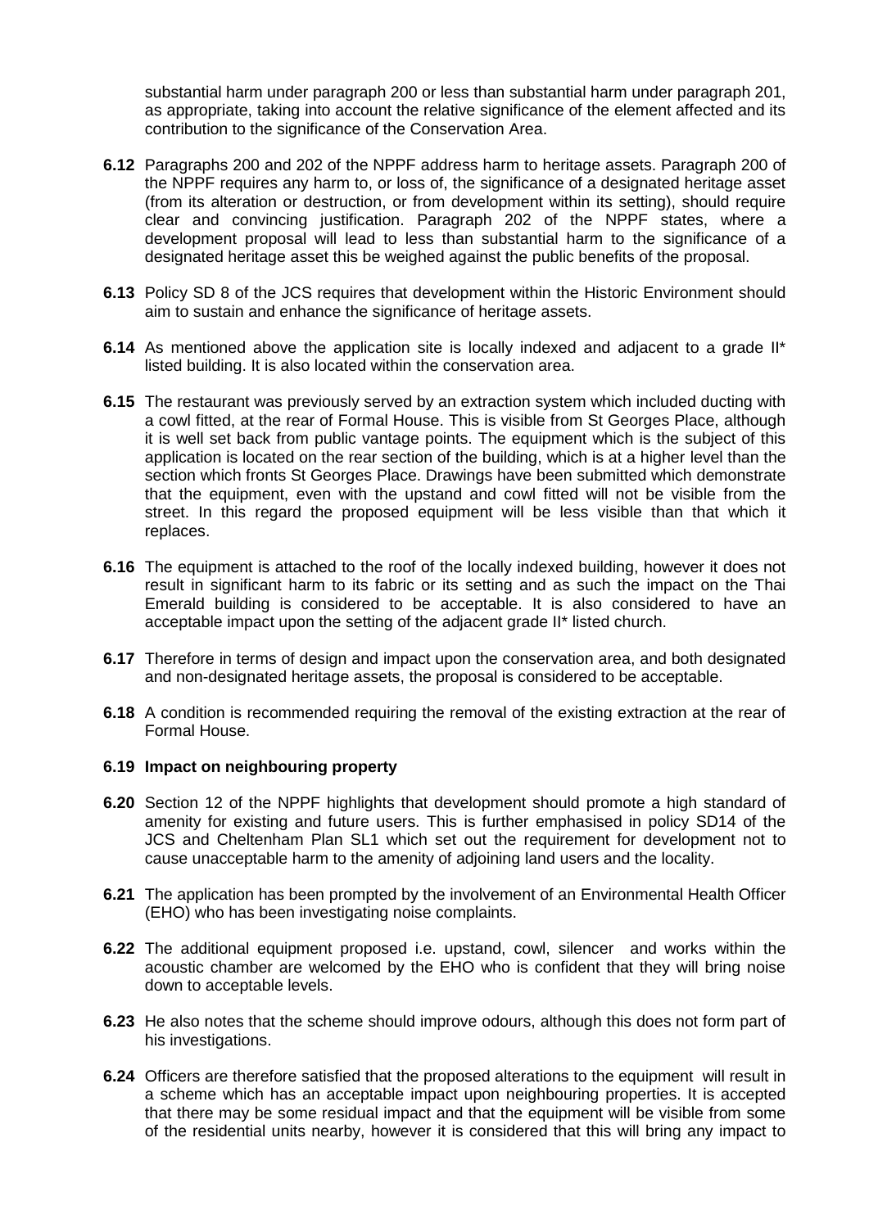substantial harm under paragraph 200 or less than substantial harm under paragraph 201, as appropriate, taking into account the relative significance of the element affected and its contribution to the significance of the Conservation Area.

- **6.12** Paragraphs 200 and 202 of the NPPF address harm to heritage assets. Paragraph 200 of the NPPF requires any harm to, or loss of, the significance of a designated heritage asset (from its alteration or destruction, or from development within its setting), should require clear and convincing justification. Paragraph 202 of the NPPF states, where a development proposal will lead to less than substantial harm to the significance of a designated heritage asset this be weighed against the public benefits of the proposal.
- **6.13** Policy SD 8 of the JCS requires that development within the Historic Environment should aim to sustain and enhance the significance of heritage assets.
- **6.14** As mentioned above the application site is locally indexed and adjacent to a grade II<sup>\*</sup> listed building. It is also located within the conservation area.
- **6.15** The restaurant was previously served by an extraction system which included ducting with a cowl fitted, at the rear of Formal House. This is visible from St Georges Place, although it is well set back from public vantage points. The equipment which is the subject of this application is located on the rear section of the building, which is at a higher level than the section which fronts St Georges Place. Drawings have been submitted which demonstrate that the equipment, even with the upstand and cowl fitted will not be visible from the street. In this regard the proposed equipment will be less visible than that which it replaces.
- **6.16** The equipment is attached to the roof of the locally indexed building, however it does not result in significant harm to its fabric or its setting and as such the impact on the Thai Emerald building is considered to be acceptable. It is also considered to have an acceptable impact upon the setting of the adjacent grade II\* listed church.
- **6.17** Therefore in terms of design and impact upon the conservation area, and both designated and non-designated heritage assets, the proposal is considered to be acceptable.
- **6.18** A condition is recommended requiring the removal of the existing extraction at the rear of Formal House.

#### **6.19 Impact on neighbouring property**

- **6.20** Section 12 of the NPPF highlights that development should promote a high standard of amenity for existing and future users. This is further emphasised in policy SD14 of the JCS and Cheltenham Plan SL1 which set out the requirement for development not to cause unacceptable harm to the amenity of adjoining land users and the locality.
- **6.21** The application has been prompted by the involvement of an Environmental Health Officer (EHO) who has been investigating noise complaints.
- **6.22** The additional equipment proposed i.e. upstand, cowl, silencer and works within the acoustic chamber are welcomed by the EHO who is confident that they will bring noise down to acceptable levels.
- **6.23** He also notes that the scheme should improve odours, although this does not form part of his investigations.
- **6.24** Officers are therefore satisfied that the proposed alterations to the equipment will result in a scheme which has an acceptable impact upon neighbouring properties. It is accepted that there may be some residual impact and that the equipment will be visible from some of the residential units nearby, however it is considered that this will bring any impact to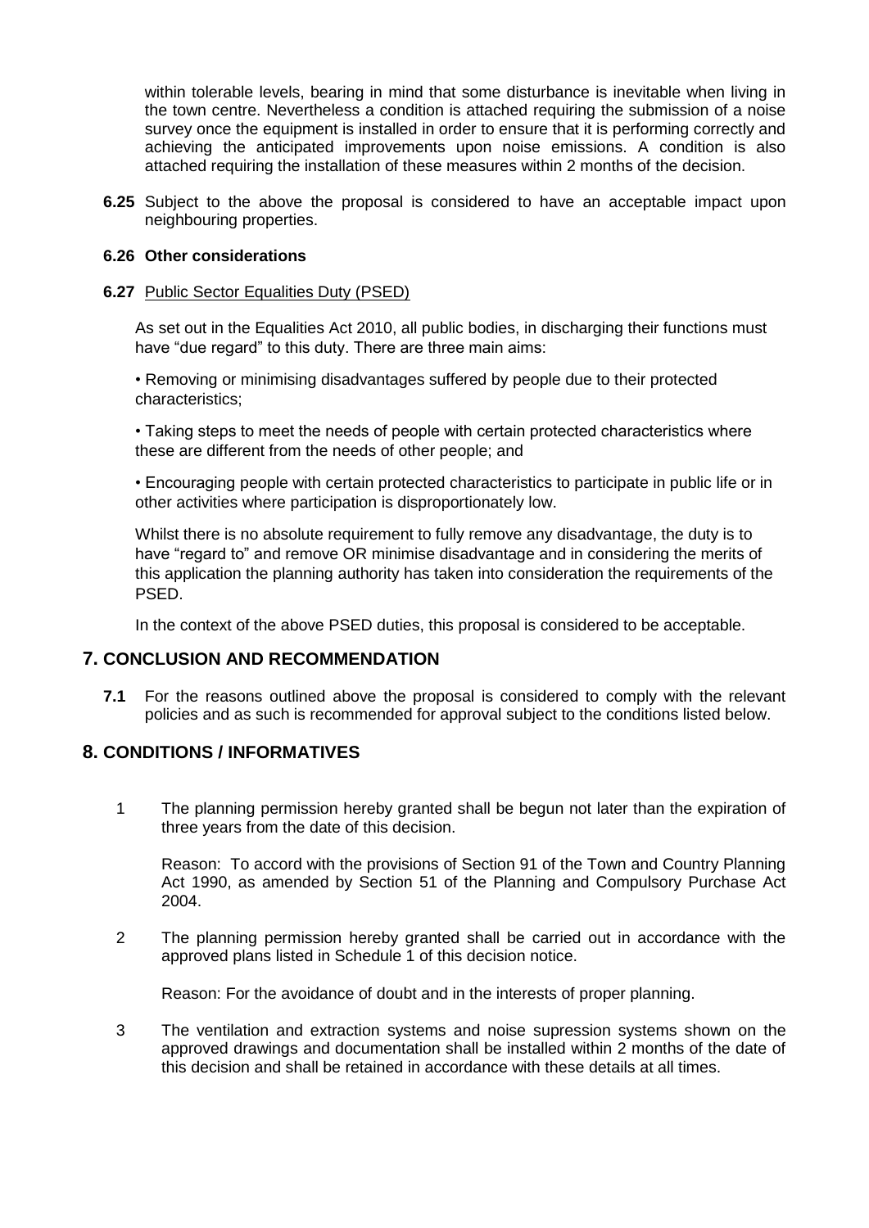within tolerable levels, bearing in mind that some disturbance is inevitable when living in the town centre. Nevertheless a condition is attached requiring the submission of a noise survey once the equipment is installed in order to ensure that it is performing correctly and achieving the anticipated improvements upon noise emissions. A condition is also attached requiring the installation of these measures within 2 months of the decision.

**6.25** Subject to the above the proposal is considered to have an acceptable impact upon neighbouring properties.

### **6.26 Other considerations**

### **6.27** Public Sector Equalities Duty (PSED)

As set out in the Equalities Act 2010, all public bodies, in discharging their functions must have "due regard" to this duty. There are three main aims:

• Removing or minimising disadvantages suffered by people due to their protected characteristics;

• Taking steps to meet the needs of people with certain protected characteristics where these are different from the needs of other people; and

• Encouraging people with certain protected characteristics to participate in public life or in other activities where participation is disproportionately low.

Whilst there is no absolute requirement to fully remove any disadvantage, the duty is to have "regard to" and remove OR minimise disadvantage and in considering the merits of this application the planning authority has taken into consideration the requirements of the PSED.

In the context of the above PSED duties, this proposal is considered to be acceptable.

### **7. CONCLUSION AND RECOMMENDATION**

**7.1** For the reasons outlined above the proposal is considered to comply with the relevant policies and as such is recommended for approval subject to the conditions listed below.

### **8. CONDITIONS / INFORMATIVES**

1 The planning permission hereby granted shall be begun not later than the expiration of three years from the date of this decision.

Reason: To accord with the provisions of Section 91 of the Town and Country Planning Act 1990, as amended by Section 51 of the Planning and Compulsory Purchase Act 2004.

2 The planning permission hereby granted shall be carried out in accordance with the approved plans listed in Schedule 1 of this decision notice.

Reason: For the avoidance of doubt and in the interests of proper planning.

3 The ventilation and extraction systems and noise supression systems shown on the approved drawings and documentation shall be installed within 2 months of the date of this decision and shall be retained in accordance with these details at all times.